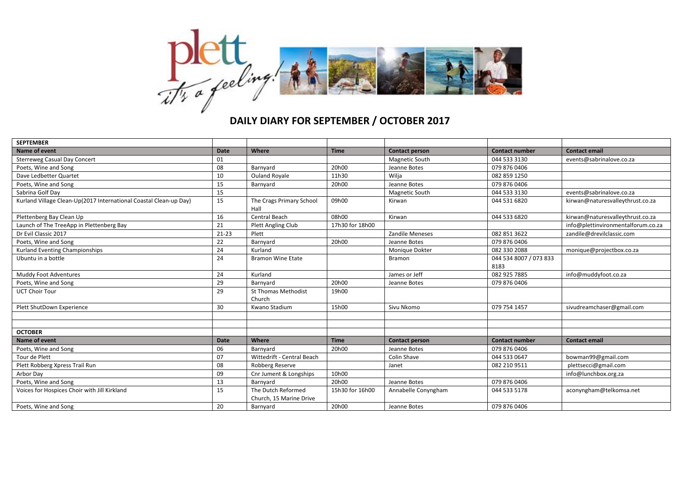

## **DAILY DIARY FOR SEPTEMBER / OCTOBER 2017**

| <b>SEPTEMBER</b>                                                  |             |                                               |                 |                        |                                |                                    |
|-------------------------------------------------------------------|-------------|-----------------------------------------------|-----------------|------------------------|--------------------------------|------------------------------------|
| <b>Name of event</b>                                              | <b>Date</b> | Where                                         | <b>Time</b>     | <b>Contact person</b>  | <b>Contact number</b>          | <b>Contact email</b>               |
| <b>Sterreweg Casual Day Concert</b>                               | 01          |                                               |                 | Magnetic South         | 044 533 3130                   | events@sabrinalove.co.za           |
| Poets, Wine and Song                                              | 08          | Barnyard                                      | 20h00           | Jeanne Botes           | 079 876 0406                   |                                    |
| Dave Ledbetter Quartet                                            | 10          | <b>Ouland Royale</b>                          | 11h30           | Wilja                  | 082 859 1250                   |                                    |
| Poets, Wine and Song                                              | 15          | Barnyard                                      | 20h00           | Jeanne Botes           | 079 876 0406                   |                                    |
| Sabrina Golf Day                                                  | 15          |                                               |                 | Magnetic South         | 044 533 3130                   | events@sabrinalove.co.za           |
| Kurland Village Clean-Up(2017 International Coastal Clean-up Day) | 15          | The Crags Primary School<br>Hall              | 09h00           | Kirwan                 | 044 531 6820                   | kirwan@naturesvalleythrust.co.za   |
| Plettenberg Bay Clean Up                                          | 16          | Central Beach                                 | 08h00           | Kirwan                 | 044 533 6820                   | kirwan@naturesvalleythrust.co.za   |
| Launch of The TreeApp in Plettenberg Bay                          | 21          | Plett Angling Club                            | 17h30 for 18h00 |                        |                                | info@plettinvironmentalforum.co.za |
| Dr Evil Classic 2017                                              | $21 - 23$   | Plett                                         |                 | <b>Zandile Meneses</b> | 082 851 3622                   | zandile@drevilclassic.com          |
| Poets, Wine and Song                                              | 22          | Barnyard                                      | 20h00           | Jeanne Botes           | 079 876 0406                   |                                    |
| Kurland Eventing Championships                                    | 24          | Kurland                                       |                 | Monique Dokter         | 082 330 2088                   | monique@projectbox.co.za           |
| Ubuntu in a bottle                                                | 24          | <b>Bramon Wine Etate</b>                      |                 | <b>Bramon</b>          | 044 534 8007 / 073 833<br>8183 |                                    |
| Muddy Foot Adventures                                             | 24          | Kurland                                       |                 | James or Jeff          | 082 925 7885                   | info@muddyfoot.co.za               |
| Poets, Wine and Song                                              | 29          | Barnyard                                      | 20h00           | Jeanne Botes           | 079 876 0406                   |                                    |
| <b>UCT Choir Tour</b>                                             | 29          | <b>St Thomas Methodist</b><br>Church          | 19h00           |                        |                                |                                    |
| Plett ShutDown Experience                                         | 30          | Kwano Stadium                                 | 15h00           | Sivu Nkomo             | 079 754 1457                   | sivudreamchaser@gmail.com          |
|                                                                   |             |                                               |                 |                        |                                |                                    |
|                                                                   |             |                                               |                 |                        |                                |                                    |
| <b>OCTOBER</b>                                                    |             |                                               |                 |                        |                                |                                    |
| <b>Name of event</b>                                              | <b>Date</b> | Where                                         | <b>Time</b>     | <b>Contact person</b>  | <b>Contact number</b>          | <b>Contact email</b>               |
| Poets, Wine and Song                                              | 06          | Barnyard                                      | 20h00           | Jeanne Botes           | 079 876 0406                   |                                    |
| Tour de Plett                                                     | 07          | Wittedrift - Central Beach                    |                 | Colin Shave            | 044 533 0647                   | bowman99@gmail.com                 |
| Plett Robberg Xpress Trail Run                                    | 08          | Robberg Reserve                               |                 | Janet                  | 082 210 9511                   | plettsecci@gmail.com               |
| Arbor Day                                                         | 09          | Cnr Jument & Longships                        | 10h00           |                        |                                | info@lunchbox.org.za               |
| Poets, Wine and Song                                              | 13          | Barnyard                                      | 20h00           | Jeanne Botes           | 079 876 0406                   |                                    |
| Voices for Hospices Choir with Jill Kirkland                      | 15          | The Dutch Reformed<br>Church, 15 Marine Drive | 15h30 for 16h00 | Annabelle Conyngham    | 044 533 5178                   | aconyngham@telkomsa.net            |
| Poets, Wine and Song                                              | 20          | Barnyard                                      | 20h00           | Jeanne Botes           | 079 876 0406                   |                                    |